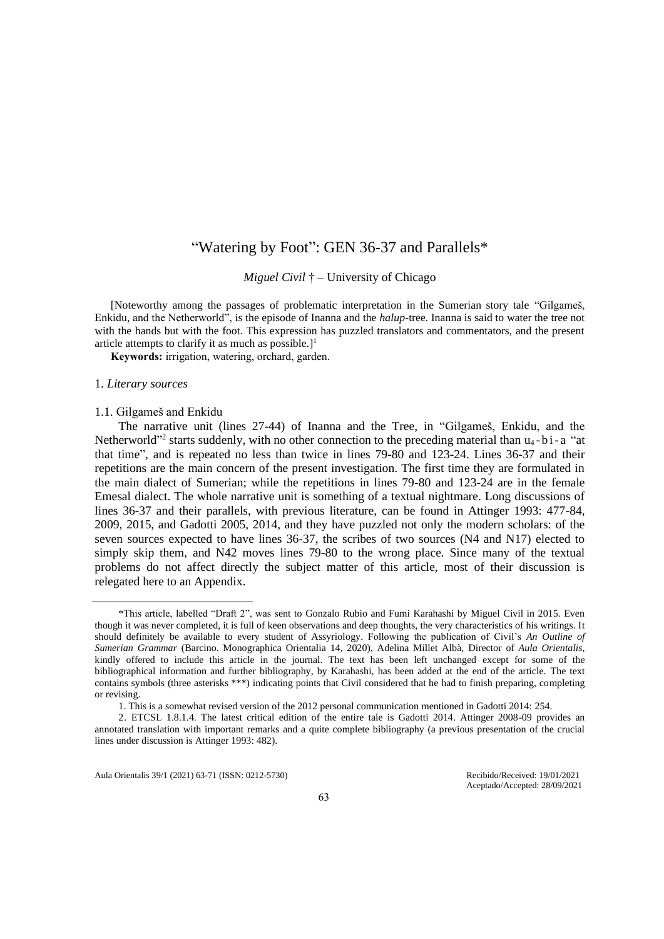# "Watering by Foot": GEN 36-37 and Parallels\*

*Miguel Civil* † – University of Chicago

[Noteworthy among the passages of problematic interpretation in the Sumerian story tale "Gilgameš, Enkidu, and the Netherworld", is the episode of Inanna and the *halup*-tree. Inanna is said to water the tree not with the hands but with the foot. This expression has puzzled translators and commentators, and the present article attempts to clarify it as much as possible.]<sup>1</sup>

**Keywords:** irrigation, watering, orchard, garden.

#### 1. *Literary sources*

#### 1.1. Gilgameš and Enkidu

The narrative unit (lines 27-44) of Inanna and the Tree, in "Gilgameš, Enkidu, and the Netherworld"<sup>2</sup> starts suddenly, with no other connection to the preceding material than  $u_4$ -bi-a "at that time", and is repeated no less than twice in lines 79-80 and 123-24. Lines 36-37 and their repetitions are the main concern of the present investigation. The first time they are formulated in the main dialect of Sumerian; while the repetitions in lines 79-80 and 123-24 are in the female Emesal dialect. The whole narrative unit is something of a textual nightmare. Long discussions of lines 36-37 and their parallels, with previous literature, can be found in Attinger 1993: 477-84, 2009, 2015, and Gadotti 2005, 2014, and they have puzzled not only the modern scholars: of the seven sources expected to have lines 36-37, the scribes of two sources (N4 and N17) elected to simply skip them, and N42 moves lines 79-80 to the wrong place. Since many of the textual problems do not affect directly the subject matter of this article, most of their discussion is relegated here to an Appendix.

Aula Orientalis 39/1 (2021) 63-71 (ISSN: 0212-5730) Recibido/Received: 19/01/2021

Aceptado/Accepted: 28/09/2021

<sup>\*</sup>This article, labelled "Draft 2", was sent to Gonzalo Rubio and Fumi Karahashi by Miguel Civil in 2015. Even though it was never completed, it is full of keen observations and deep thoughts, the very characteristics of his writings. It should definitely be available to every student of Assyriology. Following the publication of Civil's *An Outline of Sumerian Grammar* (Barcino. Monographica Orientalia 14, 2020), Adelina Millet Albà, Director of *Aula Orientalis*, kindly offered to include this article in the journal. The text has been left unchanged except for some of the bibliographical information and further bibliography, by Karahashi, has been added at the end of the article. The text contains symbols (three asterisks \*\*\*) indicating points that Civil considered that he had to finish preparing, completing or revising.

<sup>1.</sup> This is a somewhat revised version of the 2012 personal communication mentioned in Gadotti 2014: 254.

<sup>2.</sup> ETCSL 1.8.1.4. The latest critical edition of the entire tale is Gadotti 2014. Attinger 2008-09 provides an annotated translation with important remarks and a quite complete bibliography (a previous presentation of the crucial lines under discussion is Attinger 1993: 482).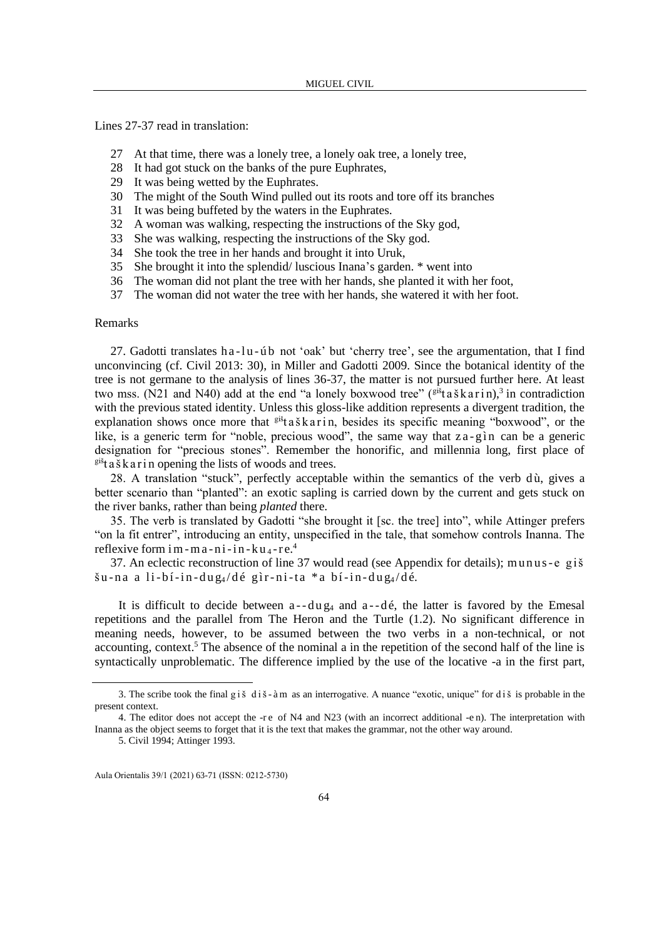Lines 27-37 read in translation:

- 27 At that time, there was a lonely tree, a lonely oak tree, a lonely tree,
- 28 It had got stuck on the banks of the pure Euphrates,
- 29 It was being wetted by the Euphrates.
- 30 The might of the South Wind pulled out its roots and tore off its branches
- 31 It was being buffeted by the waters in the Euphrates.
- 32 A woman was walking, respecting the instructions of the Sky god,
- 33 She was walking, respecting the instructions of the Sky god.
- 34 She took the tree in her hands and brought it into Uruk,
- 35 She brought it into the splendid/ luscious Inana's garden. \* went into
- 36 The woman did not plant the tree with her hands, she planted it with her foot,
- 37 The woman did not water the tree with her hands, she watered it with her foot.

### Remarks

27. Gadotti translates h a -l u - ú b not 'oak' but 'cherry tree', see the argumentation, that I find unconvincing (cf. Civil 2013: 30), in Miller and Gadotti 2009. Since the botanical identity of the tree is not germane to the analysis of lines 36-37, the matter is not pursued further here. At least two mss. (N21 and N40) add at the end "a lonely boxwood tree"  $(\mathbf{g}^i \mathbf{g}^i \mathbf{g}^i \mathbf{g}^j \mathbf{g}^j \mathbf{g}^j \mathbf{g}^j \mathbf{g}^j \mathbf{g}^j \mathbf{g}^j \mathbf{g}^j \mathbf{g}^j \mathbf{g}^j \mathbf{g}^j \mathbf{g}^j \mathbf{g}^j \mathbf{g}^j \mathbf{g}^j \mathbf{g}^j \mathbf{g}$ with the previous stated identity. Unless this gloss-like addition represents a divergent tradition, the explanation shows once more that  $e^{i\hat{\mathbf{x}}}$ ta š k a r i n, besides its specific meaning "boxwood", or the like, is a generic term for "noble, precious wood", the same way that  $z$ a-g ìn can be a generic designation for "precious stones". Remember the honorific, and millennia long, first place of  $e^{i\delta t}$  a š k a r i n opening the lists of woods and trees.

28. A translation "stuck", perfectly acceptable within the semantics of the verb du, gives a better scenario than "planted": an exotic sapling is carried down by the current and gets stuck on the river banks, rather than being *planted* there.

35. The verb is translated by Gadotti "she brought it [sc. the tree] into", while Attinger prefers "on la fit entrer", introducing an entity, unspecified in the tale, that somehow controls Inanna. The reflexive form  $im - m a - n i - in - ku - e<sup>4</sup>$ 

37. An eclectic reconstruction of line 37 would read (see Appendix for details); m u n u s- e giš  $\sin$ -na a li-bí-in-dug<sub>4</sub>/dé gìr-ni-ta \* a bí-in-dug<sub>4</sub>/dé.

It is difficult to decide between  $a - du g_4$  and  $a - d\acute{e}$ , the latter is favored by the Emesal repetitions and the parallel from The Heron and the Turtle (1.2). No significant difference in meaning needs, however, to be assumed between the two verbs in a non-technical, or not accounting, context.<sup>5</sup> The absence of the nominal a in the repetition of the second half of the line is syntactically unproblematic. The difference implied by the use of the locative -a in the first part,

<sup>3.</sup> The scribe took the final g i  $\dot{s}$  d i  $\dot{s}$  - à m as an interrogative. A nuance "exotic, unique" for d i  $\dot{s}$  is probable in the present context.

<sup>4.</sup> The editor does not accept the -r e of N4 and N23 (with an incorrect additional -e n). The interpretation with Inanna as the object seems to forget that it is the text that makes the grammar, not the other way around.

<sup>5.</sup> Civil 1994; Attinger 1993.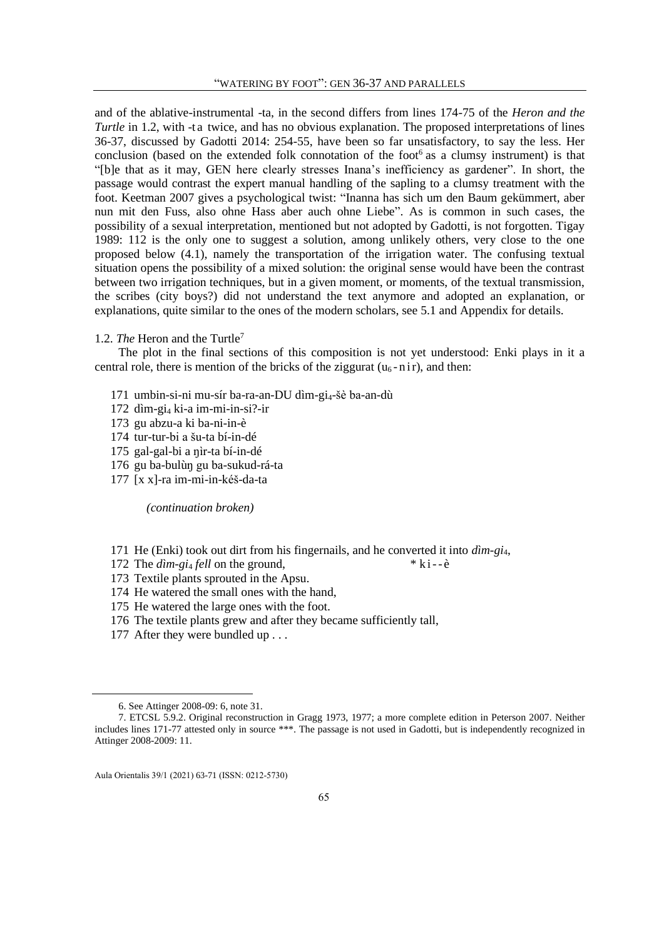and of the ablative-instrumental -ta, in the second differs from lines 174-75 of the *Heron and the Turtle* in 1.2, with -t a twice, and has no obvious explanation. The proposed interpretations of lines 36-37, discussed by Gadotti 2014: 254-55, have been so far unsatisfactory, to say the less. Her conclusion (based on the extended folk connotation of the foot $6$  as a clumsy instrument) is that "[b]e that as it may, GEN here clearly stresses Inana's inefficiency as gardener". In short, the passage would contrast the expert manual handling of the sapling to a clumsy treatment with the foot. Keetman 2007 gives a psychological twist: "Inanna has sich um den Baum gekümmert, aber nun mit den Fuss, also ohne Hass aber auch ohne Liebe". As is common in such cases, the possibility of a sexual interpretation, mentioned but not adopted by Gadotti, is not forgotten. Tigay 1989: 112 is the only one to suggest a solution, among unlikely others, very close to the one proposed below (4.1), namely the transportation of the irrigation water. The confusing textual situation opens the possibility of a mixed solution: the original sense would have been the contrast between two irrigation techniques, but in a given moment, or moments, of the textual transmission, the scribes (city boys?) did not understand the text anymore and adopted an explanation, or explanations, quite similar to the ones of the modern scholars, see 5.1 and Appendix for details.

## 1.2. *The* Heron and the Turtle<sup>7</sup>

The plot in the final sections of this composition is not yet understood: Enki plays in it a central role, there is mention of the bricks of the ziggurat  $(u_6 - n i r)$ , and then:

- 171 umbin-si-ni mu-sír ba-ra-an-DU dìm-gi<sub>4</sub>-šè ba-an-dù
- 172 dìm-gi<sup>4</sup> ki-a im-mi-in-si?-ir
- 173 gu abzu-a ki ba-ni-in-è
- 174 tur-tur-bi a šu-ta bí-in-dé
- 175 gal-gal-bi a ŋìr-ta bí-in-dé
- 176 gu ba-bulùŋ gu ba-sukud-rá-ta
- 177 [x x]-ra im-mi-in-kéš-da-ta

*(continuation broken)*

- 171 He (Enki) took out dirt from his fingernails, and he converted it into *dìm-gi*4,
- 172 The *d*im-gi<sub>4</sub> fell on the ground, \* k i -- è
- 173 Textile plants sprouted in the Apsu.
- 174 He watered the small ones with the hand,
- 175 He watered the large ones with the foot.
- 176 The textile plants grew and after they became sufficiently tall,
- 177 After they were bundled up . . .

<sup>6.</sup> See Attinger 2008-09: 6, note 31.

<sup>7.</sup> ETCSL 5.9.2. Original reconstruction in Gragg 1973, 1977; a more complete edition in Peterson 2007. Neither includes lines 171-77 attested only in source \*\*\*. The passage is not used in Gadotti, but is independently recognized in Attinger 2008-2009: 11.

Aula Orientalis 39/1 (2021) 63-71 (ISSN: 0212-5730)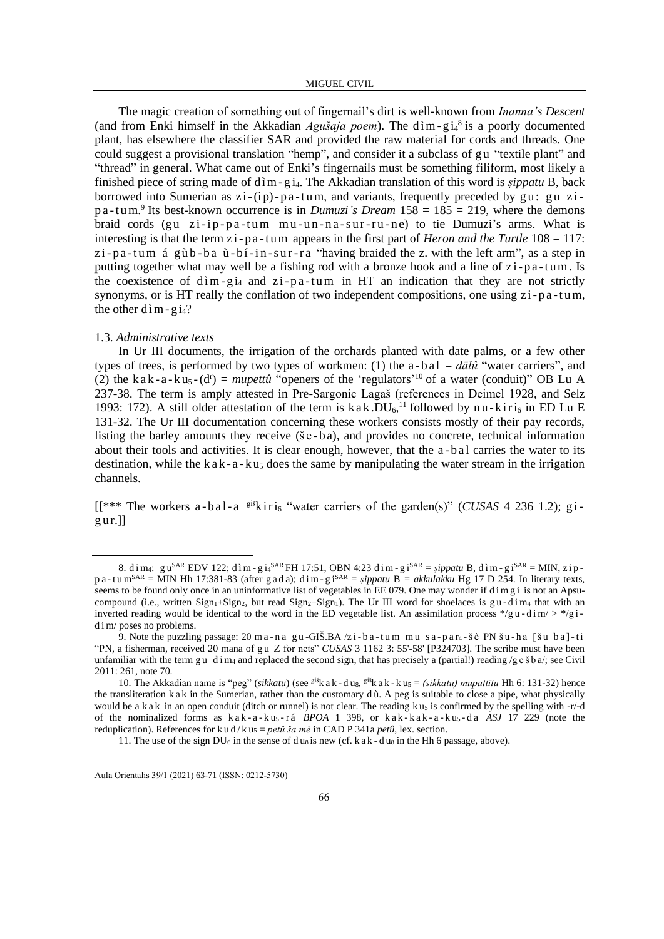The magic creation of something out of fingernail's dirt is well-known from *Inanna's Descent* (and from Enki himself in the Akkadian *Agušaja poem*). The  $\dim$ -gi<sub>4</sub><sup>8</sup> is a poorly documented plant, has elsewhere the classifier SAR and provided the raw material for cords and threads. One could suggest a provisional translation "hemp", and consider it a subclass of gu "textile plant" and "thread" in general. What came out of Enki's fingernails must be something filiform, most likely a finished piece of string made of d ì m - g i<sub>4</sub>. The Akkadian translation of this word is *sippatu* B, back borrowed into Sumerian as  $zi$ -(i p)-p a-tum, and variants, frequently preceded by gu: gu zip a-t um.<sup>9</sup> Its best-known occurrence is in *Dumuzi's Dream* 158 = 185 = 219, where the demons braid cords (gu  $zi-ip-pa-tum mu-un-na-sur-ru-ne$ ) to tie Dumuzi's arms. What is interesting is that the term  $zi$ -pa-tum appears in the first part of *Heron and the Turtle*  $108 = 117$ :  $zi$ -pa-tum á gùb-ba ù-bí-in-sur-ra "having braided the z. with the left arm", as a step in putting together what may well be a fishing rod with a bronze hook and a line of  $zi$ -p $a$ -tum. Is the coexistence of  $\dim$ -g<sub>14</sub> and z<sub>1</sub>-pa-tum in HT an indication that they are not strictly synonyms, or is HT really the conflation of two independent compositions, one using  $zi$ -p $a$ -tum, the other d  $\text{im}$  - g i<sub>4</sub>?

### 1.3. *Administrative texts*

In Ur III documents, the irrigation of the orchards planted with date palms, or a few other types of trees, is performed by two types of workmen: (1) the  $a-ba1 = d\bar{a}l\hat{u}$  "water carriers", and (2) the k a k - a - k u<sub>5</sub> - (d<sup>r</sup>) = *mupettû* "openers of the 'regulators'<sup>10</sup> of a water (conduit)" OB Lu A 237-38. The term is amply attested in Pre-Sargonic Lagaš (references in Deimel 1928, and Selz 1993: 172). A still older attestation of the term is  $kak.DU<sub>6</sub>,<sup>11</sup>$  followed by nu-kiri<sub>6</sub> in ED Lu E 131-32. The Ur III documentation concerning these workers consists mostly of their pay records, listing the barley amounts they receive (se-ba), and provides no concrete, technical information about their tools and activities. It is clear enough, however, that the a-b a l carries the water to its destination, while the  $k$  a  $k - a - k u_5$  does the same by manipulating the water stream in the irrigation channels.

 $[$ [\*\*\* The workers a-bal-a <sup>giš</sup>k i ri<sub>6</sub> "water carriers of the garden(s)" (*CUSAS* 4 236 1.2); g i $g$ ur.]]

<sup>8.</sup> dim4: gu<sup>SAR</sup> EDV 122; dìm - gi4<sup>SAR</sup> FH 17:51, OBN 4:23 dim - gi<sup>SAR</sup> = *şippatu* B, dìm - gi<sup>SAR</sup> = MIN, zip p a - t u m<sup>SAR</sup> = MIN Hh 17:381-83 (after g a d a); d i m - g i<sup>SAR</sup> = *sippatu* B = *akkulakku* Hg 17 D 254. In literary texts, seems to be found only once in an uninformative list of vegetables in EE 079. One may wonder if dimgi is not an Apsucompound (i.e., written Sign<sub>1</sub>+Sign<sub>2</sub>, but read Sign<sub>2</sub>+Sign<sub>1</sub>). The Ur III word for shoelaces is g u - d i m<sub>4</sub> that with an inverted reading would be identical to the word in the ED vegetable list. An assimilation process  $\frac{*}{g}u - \frac{d}{dx}m' > \frac{*}{g}i$ d i m/ poses no problems.

<sup>9.</sup> Note the puzzling passage:  $20 \text{ m a}$  - n a gu -GIŠ.BA  $/z$  i - b a -t um m u s a - p a r<sub>4</sub> - š è PN š u - h a [ š u b a] - t i "PN, a fisherman, received 20 mana of g u Z for nets" *CUSAS* 3 1162 3: 55'-58' [P324703]. The scribe must have been unfamiliar with the term gu d i m<sub>4</sub> and replaced the second sign, that has precisely a (partial!) reading /g e š b a/; see Civil 2011: 261, note 70.

<sup>10.</sup> The Akkadian name is "peg" (*sikkatu*) (see <sup>giš</sup>k a k - d us, <sup>giš</sup>k a k - k us = *(sikkatu) mupattītu* Hh 6: 131-32) hence the transliteration k a k in the Sumerian, rather than the customary d ù. A peg is suitable to close a pipe, what physically would be a k a k in an open conduit (ditch or runnel) is not clear. The reading k u<sub>5</sub> is confirmed by the spelling with  $-r/d$ of the nominalized forms as k a k - a - k u<sub>5</sub> - r á *BPOA* 1 398, or k a k - k a k - a - k u<sub>5</sub> - d a *ASJ* 17 229 (note the reduplication). References for k u d/k u<sub>5</sub> = *petû ša mê* in CAD P 341a *petû*, lex. section.

<sup>11.</sup> The use of the sign DU<sub>6</sub> in the sense of d us is new (cf. k a k - d us in the Hh 6 passage, above).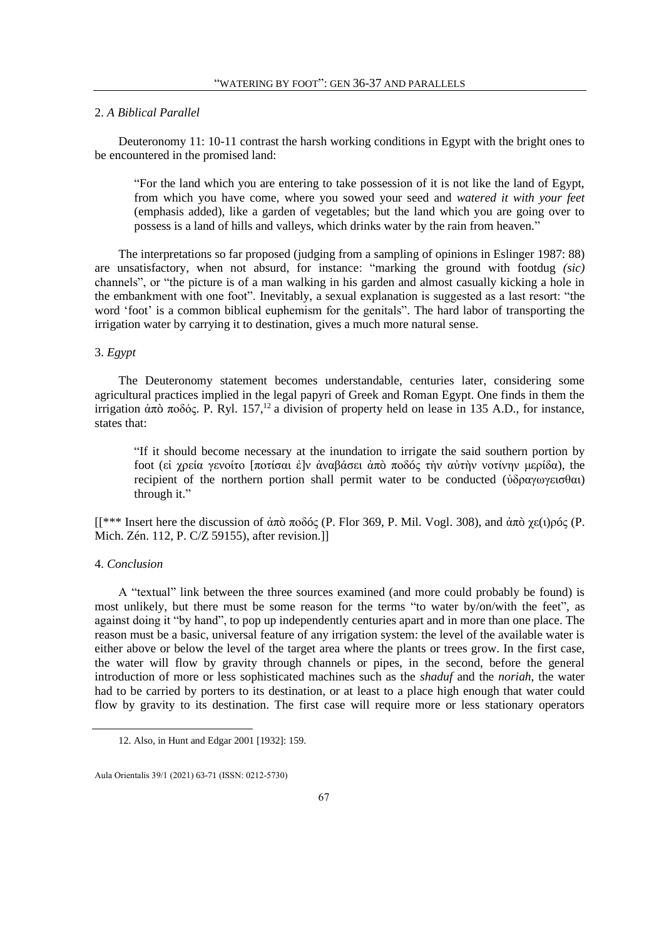### 2. *A Biblical Parallel*

Deuteronomy 11: 10-11 contrast the harsh working conditions in Egypt with the bright ones to be encountered in the promised land:

"For the land which you are entering to take possession of it is not like the land of Egypt, from which you have come, where you sowed your seed and *watered it with your feet*  (emphasis added), like a garden of vegetables; but the land which you are going over to possess is a land of hills and valleys, which drinks water by the rain from heaven."

The interpretations so far proposed (judging from a sampling of opinions in Eslinger 1987: 88) are unsatisfactory, when not absurd, for instance: "marking the ground with footdug *(sic)* channels", or "the picture is of a man walking in his garden and almost casually kicking a hole in the embankment with one foot". Inevitably, a sexual explanation is suggested as a last resort: "the word 'foot' is a common biblical euphemism for the genitals". The hard labor of transporting the irrigation water by carrying it to destination, gives a much more natural sense.

# 3. *Egypt*

The Deuteronomy statement becomes understandable, centuries later, considering some agricultural practices implied in the legal papyri of Greek and Roman Egypt. One finds in them the irrigation ἀπὸ ποδός. P. Ryl. 157,<sup>12</sup> a division of property held on lease in 135 A.D., for instance, states that:

"If it should become necessary at the inundation to irrigate the said southern portion by foot (εἰ χρεία γενοίτο [ποτίσαι ἐ]ν ἀναβάσει ἀπò ποδóς τὴν αὐτὴν νοτίνην μερίδα), the recipient of the northern portion shall permit water to be conducted (ὑδραγωγεισθαι) through it."

[[\*\*\* Insert here the discussion of ἀπò ποδóς (P. Flor 369, P. Mil. Vogl. 308), and ἀπò χε(ι)ρóς (P. Mich. Zén. 112, P. C/Z 59155), after revision.]]

### 4. *Conclusion*

A "textual" link between the three sources examined (and more could probably be found) is most unlikely, but there must be some reason for the terms "to water by/on/with the feet", as against doing it "by hand", to pop up independently centuries apart and in more than one place. The reason must be a basic, universal feature of any irrigation system: the level of the available water is either above or below the level of the target area where the plants or trees grow. In the first case, the water will flow by gravity through channels or pipes, in the second, before the general introduction of more or less sophisticated machines such as the *shaduf* and the *noriah*, the water had to be carried by porters to its destination, or at least to a place high enough that water could flow by gravity to its destination. The first case will require more or less stationary operators

<sup>12.</sup> Also, in Hunt and Edgar 2001 [1932]: 159.

Aula Orientalis 39/1 (2021) 63-71 (ISSN: 0212-5730)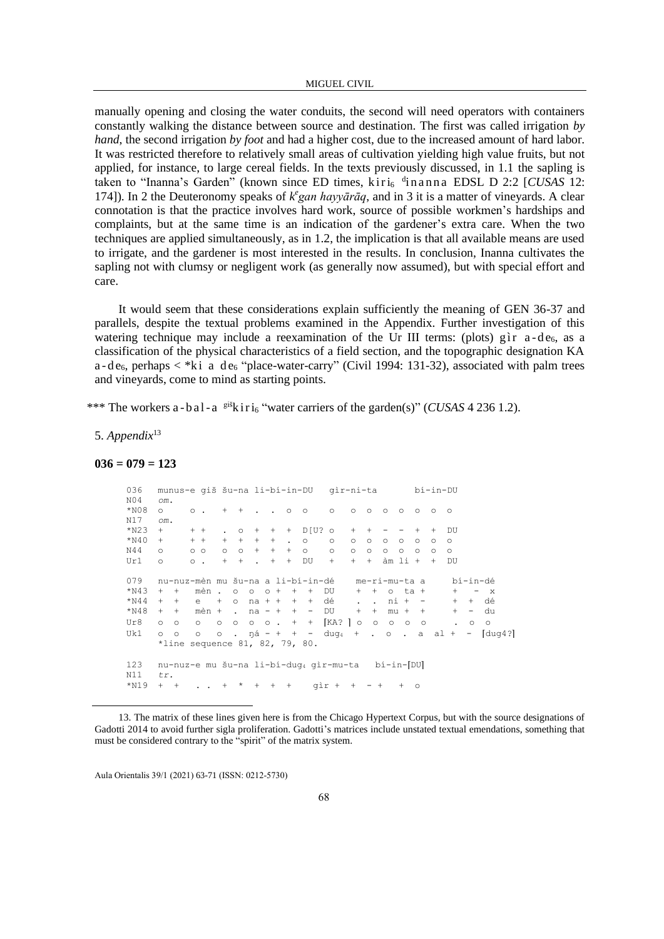manually opening and closing the water conduits, the second will need operators with containers constantly walking the distance between source and destination. The first was called irrigation *by hand*, the second irrigation *by foot* and had a higher cost, due to the increased amount of hard labor. It was restricted therefore to relatively small areas of cultivation yielding high value fruits, but not applied, for instance, to large cereal fields. In the texts previously discussed, in 1.1 the sapling is taken to "Inanna's Garden" (known since ED times, kiri<sub>6</sub> dinanna EDSL D 2:2 [CUSAS 12: 174]). In 2 the Deuteronomy speaks of  $k<sup>e</sup> gan hayyārāq$ , and in 3 it is a matter of vineyards. A clear connotation is that the practice involves hard work, source of possible workmen's hardships and complaints, but at the same time is an indication of the gardener's extra care. When the two techniques are applied simultaneously, as in 1.2, the implication is that all available means are used to irrigate, and the gardener is most interested in the results. In conclusion, Inanna cultivates the sapling not with clumsy or negligent work (as generally now assumed), but with special effort and care.

It would seem that these considerations explain sufficiently the meaning of GEN 36-37 and parallels, despite the textual problems examined in the Appendix. Further investigation of this watering technique may include a reexamination of the Ur III terms: (plots) g  $\hat{r}$  a -d  $\hat{e}_6$ , as a classification of the physical characteristics of a field section, and the topographic designation KA  $a - de_6$ , perhaps  $\lt^*$ ki a de<sub>6</sub> "place-water-carry" (Civil 1994: 131-32), associated with palm trees and vineyards, come to mind as starting points.

\*\*\* The workers a - b a l - a  $e^{i\frac{x^2}{2}}$ k i r i<sub>6</sub> "water carriers of the garden(s)" (*CUSAS* 4 236 1.2).

5. *Appendix*<sup>13</sup>

#### **036 = 079 = 123**

```
036 munus-e giš šu-na li-bí-in-DU gìr-ni-ta bí-in-DU
N04 om.
    0. + + . . . 0.0 0.00000000N17 om.
*N23 + + + . o + + + D[U? o + + - - + + DU 
*N40 + + + + + + + . o o o o o o o o o
N44 o oo o o + + + o o o o o o o o o
Ur1 o o . + + . + + DU + + + àm li + + DU
079 nu-nuz-mèn mu šu-na a li-bí-in-dé me-ri-mu-ta a bí-in-dé<br>*N43 + + mèn . o o o + + + DU + + o ta + + - x
          m\dot{e}n . o o o + + + DU + + o ta + +
*N44 + + e + o na + + + + dé . . ni + - + + dé<br>*N48 + + mèn + . na - + + - DU + + mu + + + - du
    + + mèn + . na - + + - DU + + mu + + + - du
Ur8 o o o o o o o . + + ⌈KA? ⌉ o o o o o . o o
Uk1 o o o o . ŋá - + + - dug4 + . o . a al + - ⌈dug4?⌉
    *line sequence 81, 82, 79, 80.
123 nu-nuz-e mu šu-na li-bí-dug4 gìr-mu-ta bí-in-[DU]
N11 tr.
*N19 + + . . + * + + + qir + + - + + o
```
<sup>13.</sup> The matrix of these lines given here is from the Chicago Hypertext Corpus, but with the source designations of Gadotti 2014 to avoid further sigla proliferation. Gadotti's matrices include unstated textual emendations, something that must be considered contrary to the "spirit" of the matrix system.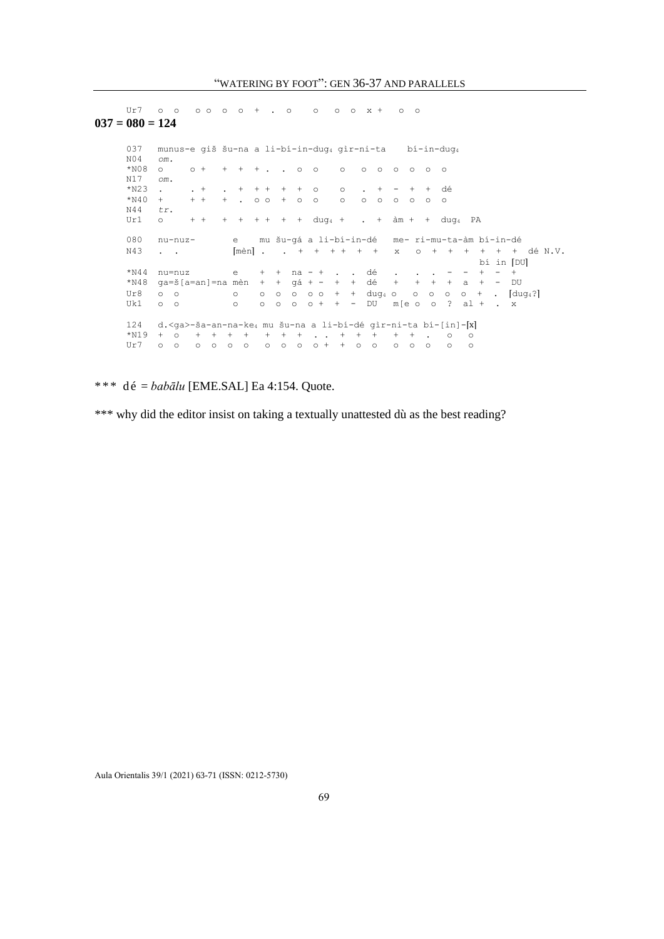Ur7 o o o o o o + . o o o o x + o o

**037 = 080 = 124** 037 munus-e giš šu-na a li-bí-in-dug<sup>4</sup> gìr-ni-ta bí-in-dug<sup>4</sup> N04 *om.* \*N08 o o + + + + . . o o o o o o o o o N17 *om*. \*N23 . . + . + + + + + o o . + - + + dé \*N40 + + + + . oo + o o o o o o o o o N44 *tr*. Ur1 o + + + + + + + + dug<sub>4</sub> + . +  $\hat{a}$ m + + dug<sub>4</sub> PA 080 nu-nuz- e mu šu-gá a li-bí-in-dé me- ri-mu-ta-àm bí-in-dé  $N43$  . .  $\qquad \qquad [\text{mèn}]$  . .  $+$   $+$   $+$   $+$   $+$   $+$   $\qquad$  x o  $+$   $+$   $+$   $+$   $+$   $\qquad$  dé N.V. bí in  $[DU]$ \*N44 nu=nuz e + + na - + . . dé . . . - - + - + \*N48 ga=š[a=an]=na mèn + + gá + - + + dé + + + + a + - DU Ur8 o o o o o o o o o + + dug4 o o o o o + . [dug4?]<br>Uk1 o o o o o o o o + + - DU m[e o o ? al + . x Uk1 o o o o o o o + + - DU m[e o o ? al + . x 124 d.<ga>-ša-an-na-ke4 mu šu-na a li-bí-dé gìr-ni-ta bí-[in]-[x] \*N19 + o + + + + + + + . . + + + + + . o o Ur7 o o o o o o o o o o + + o o o o o o o

\* \* \* d é = *babālu* [EME.SAL] Ea 4:154. Quote.

\*\*\* why did the editor insist on taking a textually unattested dù as the best reading?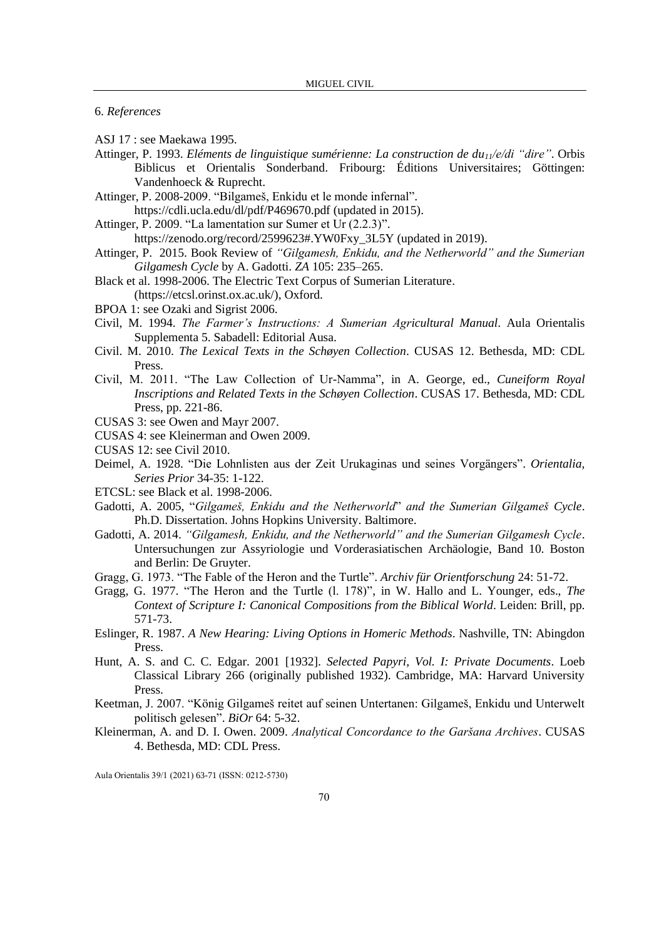6. *References*

- ASJ 17 : see Maekawa 1995.
- Attinger, P. 1993. *Eléments de linguistique sumérienne: La construction de du11/e/di "dire"*. Orbis Biblicus et Orientalis Sonderband. Fribourg: Éditions Universitaires; Göttingen: Vandenhoeck & Ruprecht.
- Attinger, P. 2008-2009. "Bilgameš, Enkidu et le monde infernal".
- <https://cdli.ucla.edu/dl/pdf/P469670.pdf> (updated in 2015).
- Attinger, P. 2009. "La lamentation sur Sumer et Ur (2.2.3)".

[https://zenodo.org/record/2599623#.YW0Fxy\\_3L5Y](https://zenodo.org/record/2599623#.YW0Fxy_3L5Y) (updated in 2019).

- Attinger, P. 2015. Book Review of *"Gilgamesh, Enkidu, and the Netherworld" and the Sumerian Gilgamesh Cycle* by A. Gadotti. *ZA* 105: 235–265.
- Black et al. 1998-2006. The Electric Text Corpus of Sumerian Literature.
- [\(https://etcsl.orinst.ox.ac.uk/\)](https://etcsl.orinst.ox.ac.uk/), Oxford.
- BPOA 1: see Ozaki and Sigrist 2006.
- Civil, M. 1994. *The Farmer's Instructions: A Sumerian Agricultural Manual*. Aula Orientalis Supplementa 5. Sabadell: Editorial Ausa.
- Civil. M. 2010. *The Lexical Texts in the Schøyen Collection*. CUSAS 12. Bethesda, MD: CDL Press.
- Civil, M. 2011. "The Law Collection of Ur-Namma", in A. George, ed., *Cuneiform Royal Inscriptions and Related Texts in the Schøyen Collection*. CUSAS 17. Bethesda, MD: CDL Press, pp. 221-86.
- CUSAS 3: see Owen and Mayr 2007.
- CUSAS 4: see Kleinerman and Owen 2009.
- CUSAS 12: see Civil 2010.
- Deimel, A. 1928. "Die Lohnlisten aus der Zeit Urukaginas und seines Vorgängers". *Orientalia, Series Prior* 34-35: 1-122.
- ETCSL: see Black et al. 1998-2006.
- Gadotti, A. 2005, "*Gilgameš, Enkidu and the Netherworld*" *and the Sumerian Gilgameš Cycle*. Ph.D. Dissertation. Johns Hopkins University. Baltimore.
- Gadotti, A. 2014. *"Gilgamesh, Enkidu, and the Netherworld" and the Sumerian Gilgamesh Cycle*. Untersuchungen zur Assyriologie und Vorderasiatischen Archäologie, Band 10. Boston and Berlin: De Gruyter.
- Gragg, G. 1973. "The Fable of the Heron and the Turtle". *Archiv für Orientforschung* 24: 51-72.
- Gragg, G. 1977. "The Heron and the Turtle (l. 178)", in W. Hallo and L. Younger, eds., *The Context of Scripture I: Canonical Compositions from the Biblical World*. Leiden: Brill, pp. 571-73.
- Eslinger, R. 1987. *A New Hearing: Living Options in Homeric Methods*. Nashville, TN: Abingdon Press.
- Hunt, A. S. and C. C. Edgar. 2001 [1932]. *Selected Papyri, Vol. I: Private Documents*. Loeb Classical Library 266 (originally published 1932). Cambridge, MA: Harvard University Press.
- Keetman, J. 2007. "König Gilgameš reitet auf seinen Untertanen: Gilgameš, Enkidu und Unterwelt politisch gelesen". *BiOr* 64: 5-32.
- Kleinerman, A. and D. I. Owen. 2009. *Analytical Concordance to the Garšana Archives*. CUSAS 4. Bethesda, MD: CDL Press.